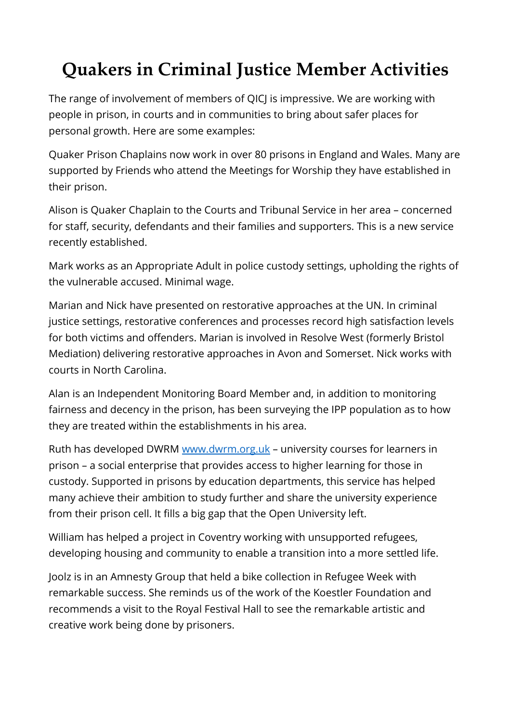## **Quakers in Criminal Justice Member Activities**

The range of involvement of members of QICJ is impressive. We are working with people in prison, in courts and in communities to bring about safer places for personal growth. Here are some examples:

Quaker Prison Chaplains now work in over 80 prisons in England and Wales. Many are supported by Friends who attend the Meetings for Worship they have established in their prison.

Alison is Quaker Chaplain to the Courts and Tribunal Service in her area – concerned for staff, security, defendants and their families and supporters. This is a new service recently established.

Mark works as an Appropriate Adult in police custody settings, upholding the rights of the vulnerable accused. Minimal wage.

Marian and Nick have presented on restorative approaches at the UN. In criminal justice settings, restorative conferences and processes record high satisfaction levels for both victims and offenders. Marian is involved in Resolve West (formerly Bristol Mediation) delivering restorative approaches in Avon and Somerset. Nick works with courts in North Carolina.

Alan is an Independent Monitoring Board Member and, in addition to monitoring fairness and decency in the prison, has been surveying the IPP population as to how they are treated within the establishments in his area.

Ruth has developed DWRM [www.dwrm.org.uk](http://www.dwrm.org.uk/) – university courses for learners in prison – a social enterprise that provides access to higher learning for those in custody. Supported in prisons by education departments, this service has helped many achieve their ambition to study further and share the university experience from their prison cell. It fills a big gap that the Open University left.

William has helped a project in Coventry working with unsupported refugees, developing housing and community to enable a transition into a more settled life.

Joolz is in an Amnesty Group that held a bike collection in Refugee Week with remarkable success. She reminds us of the work of the Koestler Foundation and recommends a visit to the Royal Festival Hall to see the remarkable artistic and creative work being done by prisoners.